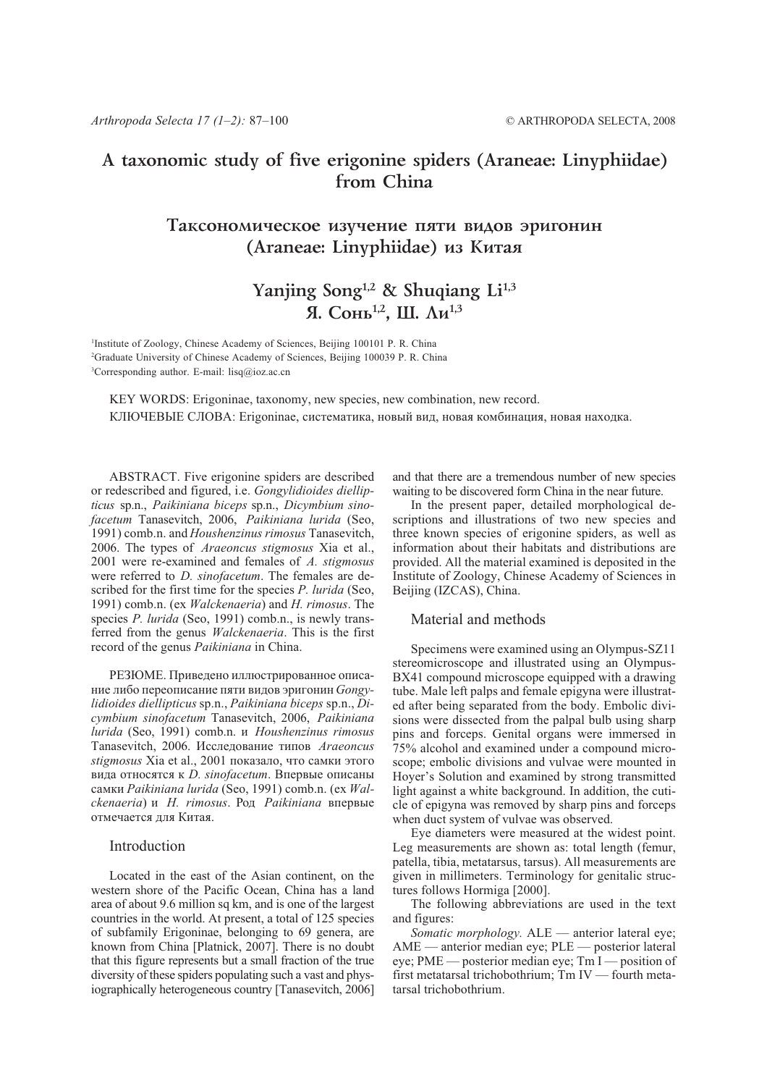## A taxonomic study of five erigonine spiders (Araneae: Linyphiidae) from China

## Таксономическое изучение пяти видов эригонин (Araneae: Linyphiidae) из Китая

# Yanjing Song<sup>1,2</sup> & Shuqiang Li<sup>1,3</sup> Я. Сонь<sup>1,2</sup>. Ш. Ли<sup>1,3</sup>

<sup>1</sup>Institute of Zoology, Chinese Academy of Sciences, Beijing 100101 P. R. China <sup>2</sup>Graduate University of Chinese Academy of Sciences, Beijing 100039 P. R. China <sup>3</sup>Corresponding author. E-mail: lisq@ioz.ac.cn

KEY WORDS: Erigoninae, taxonomy, new species, new combination, new record. КЛЮЧЕВЫЕ СЛОВА: Erigoninae, систематика, новый вид, новая комбинация, новая находка.

ABSTRACT. Five erigonine spiders are described or redescribed and figured, i.e. Gongylidioides diellipticus sp.n., Paikiniana biceps sp.n., Dicymbium sinofacetum Tanasevitch, 2006, Paikiniana lurida (Seo, 1991) comb.n. and Houshenzinus rimosus Tanasevitch, 2006. The types of Araeoncus stigmosus Xia et al., 2001 were re-examined and females of A. stigmosus were referred to *D. sinofacetum*. The females are described for the first time for the species P. lurida (Seo. 1991) comb.n. (ex *Walckenaeria*) and *H. rimosus*. The species P. lurida (Seo, 1991) comb.n., is newly transferred from the genus *Walckenaeria*. This is the first record of the genus *Paikiniana* in China.

РЕЗЮМЕ. Приведено иллюстрированное описание либо переописание пяти видов эригонин Gongylidioides diellipticus sp.n., Paikiniana biceps sp.n., Dicymbium sinofacetum Tanasevitch, 2006, Paikiniana lurida (Seo, 1991) comb.n. u Houshenzinus rimosus Tanasevitch, 2006. Исследование типов Araeoncus stigmosus Xia et al., 2001 показало, что самки этого вила относятся к *D. sinofacetum*. Впервые описаны самки Paikiniana lurida (Seo, 1991) comb.n. (ex Walckenaeria) и H. rimosus. Род Paikiniana впервые отмечается лля Китая.

## Introduction

Located in the east of the Asian continent, on the western shore of the Pacific Ocean, China has a land area of about 9.6 million sq km, and is one of the largest countries in the world. At present, a total of 125 species of subfamily Erigoninae, belonging to 69 genera, are known from China [Platnick, 2007]. There is no doubt that this figure represents but a small fraction of the true diversity of these spiders populating such a vast and physiographically heterogeneous country [Tanasevitch, 2006]

and that there are a tremendous number of new species waiting to be discovered form China in the near future.

In the present paper, detailed morphological descriptions and illustrations of two new species and three known species of erigonine spiders, as well as information about their habitats and distributions are provided. All the material examined is deposited in the Institute of Zoology, Chinese Academy of Sciences in Beijing (IZCAS), China.

## Material and methods

Specimens were examined using an Olympus-SZ11 stereomicroscope and illustrated using an Olympus-BX41 compound microscope equipped with a drawing tube. Male left palps and female epigyna were illustrated after being separated from the body. Embolic divisions were dissected from the palpal bulb using sharp pins and forceps. Genital organs were immersed in 75% alcohol and examined under a compound microscope; embolic divisions and vulvae were mounted in Hoyer's Solution and examined by strong transmitted light against a white background. In addition, the cuticle of epigyna was removed by sharp pins and forceps when duct system of vulvae was observed.

Eye diameters were measured at the widest point. Leg measurements are shown as: total length (femur, patella, tibia, metatarsus, tarsus). All measurements are given in millimeters. Terminology for genitalic structures follows Hormiga [2000].

The following abbreviations are used in the text and figures:

Somatic morphology. ALE — anterior lateral eye; AME — anterior median eye; PLE — posterior lateral eye; PME — posterior median eye;  $TmI$  — position of first metatarsal trichobothrium; Tm IV - fourth metatarsal trichobothrium.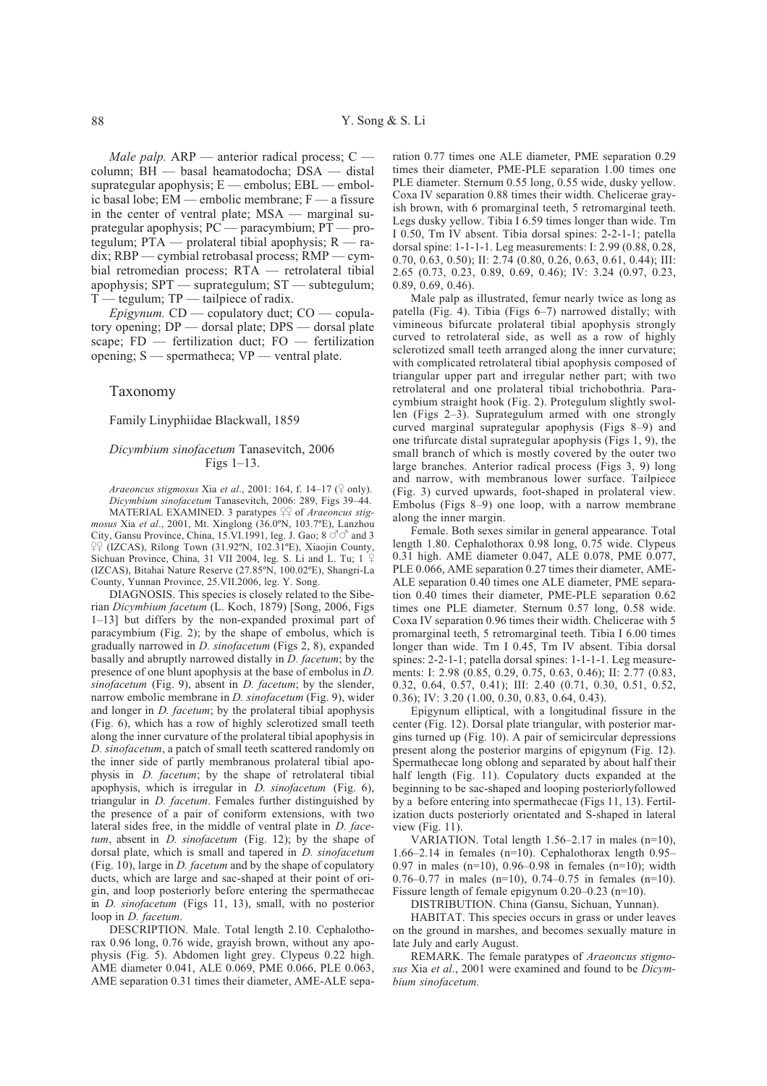*Male palp.* ARP — anterior radical process;  $C$  column; BH - basal heamatodocha; DSA - distal suprategular apophysis;  $E$  — embolus;  $EBL$  — embolic basal lobe; EM — embolic membrane; F — a fissure in the center of ventral plate; MSA — marginal suprategular apophysis;  $PC$  - paracymbium;  $PT$  - protegulum;  $PTA$  — prolateral tibial apophysis;  $R$  — ra $dix$ ; RBP — cymbial retrobasal process; RMP — cymbial retromedian process; RTA - retrolateral tibial apophysis;  $SPT$  — suprategulum;  $ST$  — subtegulum;  $T$  — tegulum;  $TP$  — tailpiece of radix.

*Epigynum.*  $CD$  — copulatory duct;  $CO$  — copulatory opening;  $DP$  — dorsal plate;  $DPS$  — dorsal plate scape; FD - fertilization duct; FO - fertilization opening; S — spermatheca; VP — ventral plate.

### Taxonomy

#### Family Linyphiidae Blackwall, 1859

## Dicymbium sinofacetum Tanasevitch, 2006 Figs  $1-13$ .

Araeoncus stigmosus Xia et al., 2001: 164, f. 14-17 ( $\sqrt{ }$  only). Dicymbium sinofacetum Tanasevitch, 2006: 289, Figs 39-44.

MATERIAL EXAMINED. 3 paratypes  $\frac{QQ}{T}$  of *Araeoncus stig*mosus Xia et al., 2001, Mt. Xinglong (36.0°N, 103.7°E), Lanzhou City, Gansu Province, China, 15.VI.1991, leg. J. Gao; 8  $\circ$   $\circ$  and 3  $\sqrt{2}$  (IZCAS), Rilong Town (31.92°N, 102.31°E), Xiaojin County, Sichuan Province, China, 31 VII 2004, leg. S. Li and L. Tu; 1 (IZCAS), Bitahai Nature Reserve (27.85°N, 100.02°E), Shangri-La County, Yunnan Province, 25.VII.2006, leg. Y. Song.

DIAGNOSIS. This species is closely related to the Siberian Dicymbium facetum (L. Koch, 1879) [Song, 2006, Figs 1-13] but differs by the non-expanded proximal part of paracymbium (Fig. 2); by the shape of embolus, which is gradually narrowed in *D. sinofacetum* (Figs 2, 8), expanded basally and abruptly narrowed distally in *D. facetum*; by the presence of one blunt apophysis at the base of embolus in  $D$ . sinofacetum (Fig. 9), absent in *D. facetum*; by the slender, narrow embolic membrane in *D. sinofacetum* (Fig. 9), wider and longer in *D. facetum*; by the prolateral tibial apophysis (Fig. 6), which has a row of highly sclerotized small teeth along the inner curvature of the prolateral tibial apophysis in D. sinofacetum, a patch of small teeth scattered randomly on the inner side of partly membranous prolateral tibial apophysis in *D. facetum*; by the shape of retrolateral tibial apophysis, which is irregular in  $D$ . sinofacetum (Fig. 6), triangular in *D. facetum*. Females further distinguished by the presence of a pair of coniform extensions, with two lateral sides free, in the middle of ventral plate in *D. face*tum, absent in  $D. sinofacetum$  (Fig. 12); by the shape of dorsal plate, which is small and tapered in *D. sinofacetum* (Fig. 10), large in *D. facetum* and by the shape of copulatory ducts, which are large and sac-shaped at their point of origin, and loop posteriorly before entering the spermathecae in *D. sinofacetum* (Figs 11, 13), small, with no posterior loop in *D. facetum*.

DESCRIPTION. Male. Total length 2.10. Cephalothorax 0.96 long, 0.76 wide, grayish brown, without any apophysis (Fig. 5). Abdomen light grey. Clypeus 0.22 high. AME diameter 0.041, ALE 0.069, PME 0.066, PLE 0.063, AME separation 0.31 times their diameter, AME-ALE separation 0.77 times one ALE diameter, PME separation 0.29 times their diameter, PME-PLE separation 1.00 times one PLE diameter. Sternum 0.55 long, 0.55 wide, dusky yellow. Coxa IV separation 0.88 times their width. Chelicerae grayish brown, with 6 promarginal teeth, 5 retromarginal teeth. Legs dusky yellow. Tibia I 6.59 times longer than wide. Tm I 0.50, Tm IV absent. Tibia dorsal spines: 2-2-1-1; patella dorsal spine: 1-1-1-1. Leg measurements: I: 2.99 (0.88, 0.28, 0.70, 0.63, 0.50); II: 2.74 (0.80, 0.26, 0.63, 0.61, 0.44); III: 2.65 (0.73, 0.23, 0.89, 0.69, 0.46); IV: 3.24 (0.97, 0.23,  $0.89, 0.69, 0.46$ ).

Male palp as illustrated, femur nearly twice as long as patella (Fig. 4). Tibia (Figs 6-7) narrowed distally; with vimineous bifurcate prolateral tibial apophysis strongly curved to retrolateral side, as well as a row of highly sclerotized small teeth arranged along the inner curvature; with complicated retrolateral tibial apophysis composed of triangular upper part and irregular nether part; with two retrolateral and one prolateral tibial trichobothria. Paracymbium straight hook (Fig. 2). Protegulum slightly swollen (Figs  $2-3$ ). Suprategulum armed with one strongly curved marginal suprategular apophysis (Figs 8–9) and one trifurcate distal suprategular apophysis (Figs 1, 9), the small branch of which is mostly covered by the outer two large branches. Anterior radical process (Figs 3, 9) long and narrow, with membranous lower surface. Tailpiece (Fig. 3) curved upwards, foot-shaped in prolateral view. Embolus (Figs 8-9) one loop, with a narrow membrane along the inner margin.

Female. Both sexes similar in general appearance. Total length 1.80. Cephalothorax 0.98 long, 0.75 wide. Clypeus 0.31 high. AME diameter 0.047, ALE 0.078, PME 0.077, PLE 0.066, AME separation 0.27 times their diameter, AME-ALE separation 0.40 times one ALE diameter, PME separation 0.40 times their diameter, PME-PLE separation 0.62 times one PLE diameter. Sternum 0.57 long, 0.58 wide. Coxa IV separation 0.96 times their width. Chelicerae with 5 promarginal teeth, 5 retromarginal teeth. Tibia I 6.00 times longer than wide. Tm I 0.45, Tm IV absent. Tibia dorsal spines: 2-2-1-1; patella dorsal spines: 1-1-1-1. Leg measurements: I: 2.98 (0.85, 0.29, 0.75, 0.63, 0.46); II: 2.77 (0.83, 0.32, 0.64, 0.57, 0.41); III: 2.40 (0.71, 0.30, 0.51, 0.52, 0.36); IV: 3.20 (1.00, 0.30, 0.83, 0.64, 0.43).

Epigynum elliptical, with a longitudinal fissure in the center (Fig. 12). Dorsal plate triangular, with posterior margins turned up (Fig. 10). A pair of semicircular depressions present along the posterior margins of epigynum (Fig. 12). Spermathecae long oblong and separated by about half their half length (Fig. 11). Copulatory ducts expanded at the beginning to be sac-shaped and looping posteriorlyfollowed by a before entering into spermathecae (Figs 11, 13). Fertilization ducts posteriorly orientated and S-shaped in lateral view (Fig.  $11$ ).

VARIATION. Total length  $1.56-2.17$  in males (n=10), 1.66-2.14 in females ( $n=10$ ). Cephalothorax length 0.95-0.97 in males (n=10), 0.96–0.98 in females (n=10); width  $0.76-0.77$  in males (n=10), 0.74-0.75 in females (n=10). Fissure length of female epigynum  $0.20-0.23$  (n=10).

DISTRIBUTION. China (Gansu, Sichuan, Yunnan).

HABITAT. This species occurs in grass or under leaves on the ground in marshes, and becomes sexually mature in late July and early August.

REMARK. The female paratypes of Araeoncus stigmosus Xia et al., 2001 were examined and found to be Dicymbium sinofacetum.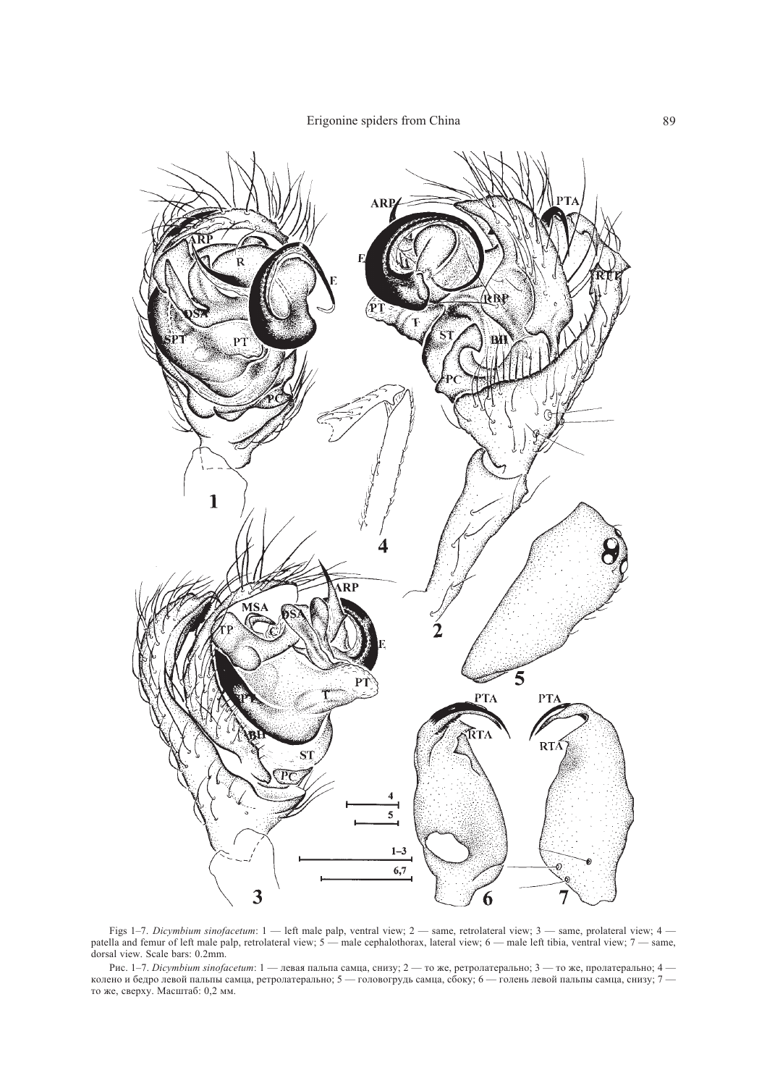Erigonine spiders from China 69



Figs 1–7. Dicymbium sinofacetum: 1 — left male palp, ventral view; 2 — same, retrolateral view; 3 — same, prolateral view; 4 patella and femur of left male palp, retrolateral view; 5 — male cephalothorax, lateral view; 6 — male left tibia, ventral view; 7 — same, dorsal view. Scale bars: 0.2mm.

Рис. 1–7. *Dicymbium sinofacetum*: 1 — левая пальпа самца, снизу; 2 — то же, ретролатерально; 3 — то же, пролатерально; 4 колено и бедро левой пальпы самца, ретролатерально; 5 — головогрудь самца, сбоку; 6 — голень левой пальпы самца, снизу; 7 то же, сверху. Масштаб: 0,2 мм.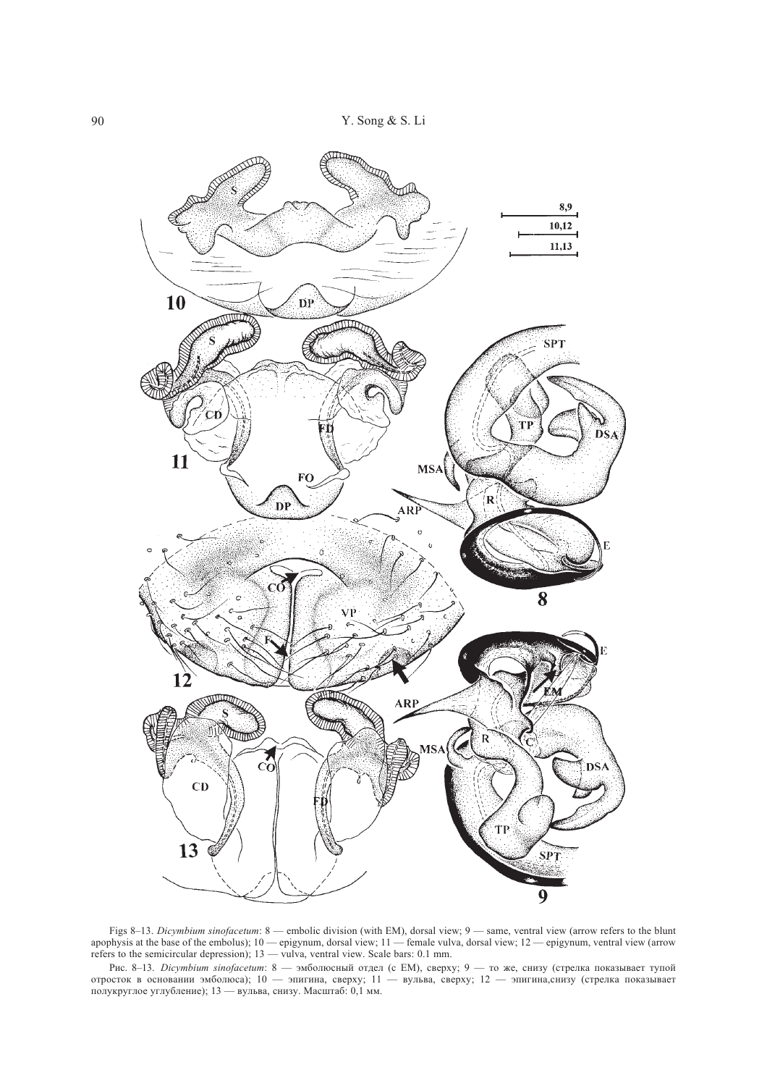

Figs 8–13. Dicymbium sinofacetum: 8 — embolic division (with EM), dorsal view; 9 — same, ventral view (arrow refers to the blunt apophysis at the base of the embolus);  $10$ — epigynum, dorsal view;  $11$ — female vulva, dorsal view;  $12$ — epigynum, ventral view (arrow refers to the semicircular depression);  $13 -$  vulva, ventral view. Scale bars: 0.1 mm.

Рис. 8–13. *Dicymbium sinofacetum*: 8 — эмболюсный отдел (с EM), сверху; 9 — то же, снизу (стрелка показывает тупой отросток в основании эмболюса); 10 — эпигина, сверху; 11 — вульва, сверху; 12 — эпигина,снизу (стрелка показывает полукруглое углубление); 13 — вульва, снизу. Масштаб: 0,1 мм.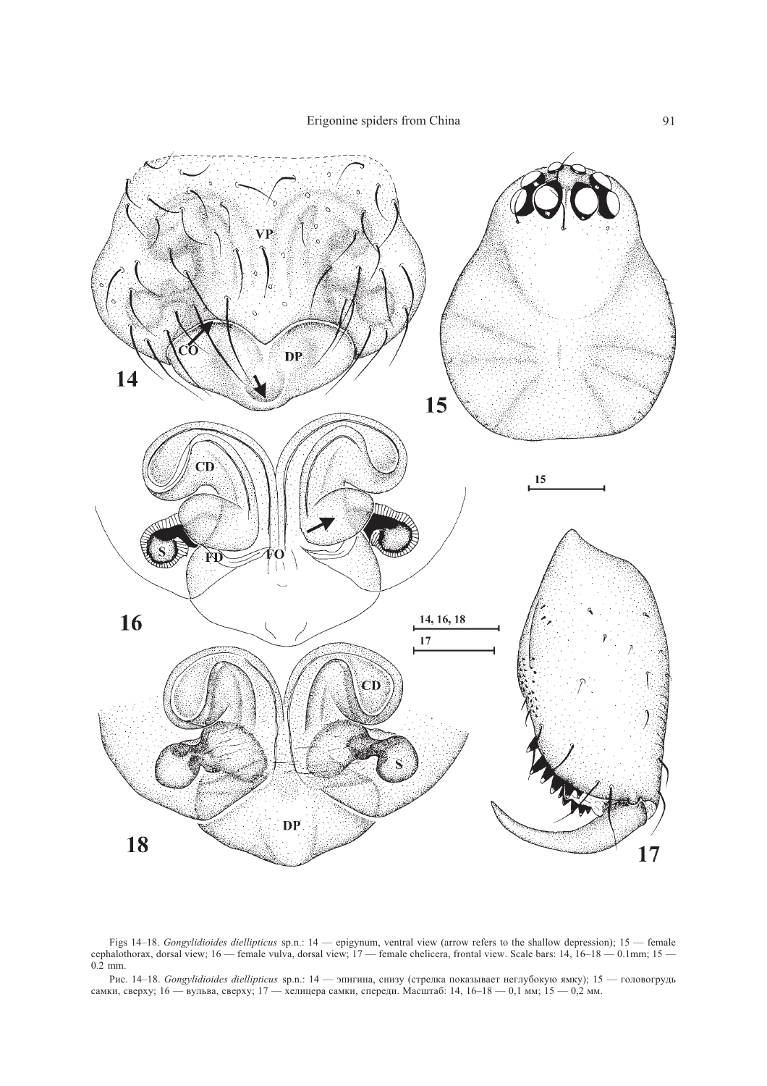

Figs 14–18. Gongylidioides diellipticus sp.n.: 14 — epigynum, ventral view (arrow refers to the shallow depression); 15 — female cephalothorax, dorsal view; 16 — female vulva, dorsal view; 17 — female chelicera, frontal view. Scale bars: 14, 16–18 — 0.1mm; 15 —  $0.2$  mm.

Рис. 14–18. *Gongylidioides diellipticus s*p.n.: 14 — эпигина, снизу (стрелка показывает неглубокую ямку); 15 — головогрудь самки, сверху; 16 — вульва, сверху; 17 — хелицера самки, спереди. Масштаб: 14, 16–18 — 0,1 мм; 15 — 0,2 мм.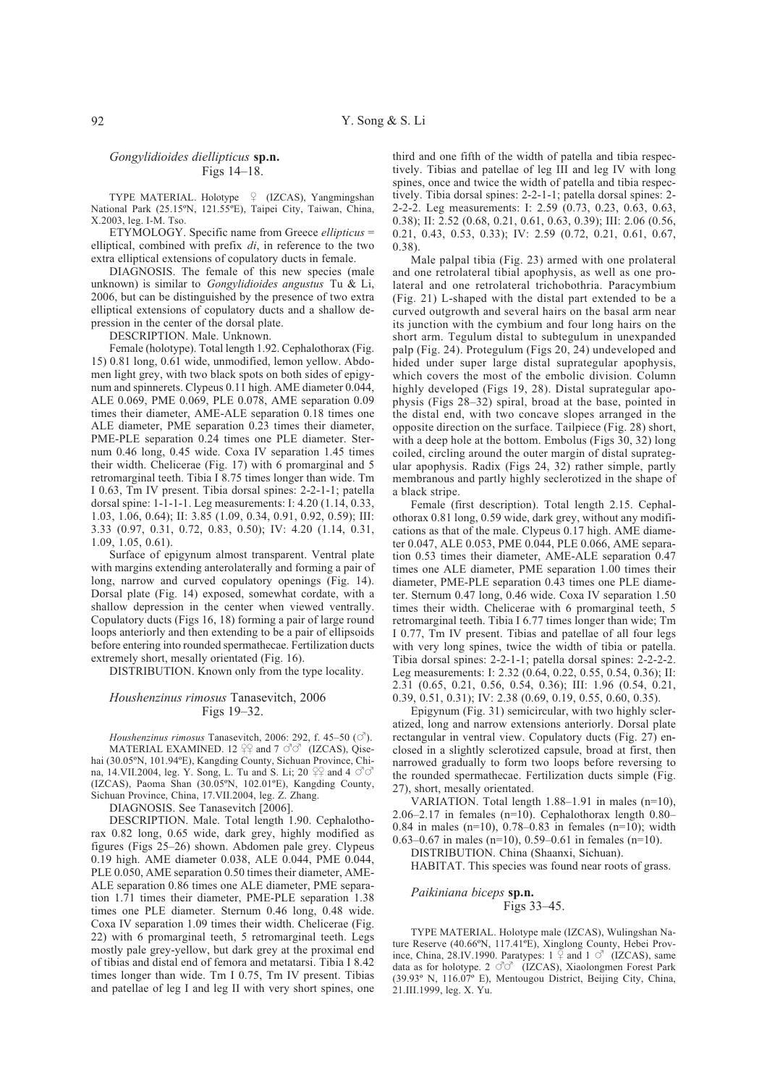### Gongylidioides diellipticus sp.n. Figs  $14-18$ .

TYPE MATERIAL. Holotype 9 (IZCAS), Yangmingshan National Park (25.15°N, 121.55°E), Taipei City, Taiwan, China, X.2003, leg. I-M. Tso.

ETYMOLOGY. Specific name from Greece ellipticus = elliptical, combined with prefix  $di$ , in reference to the two extra elliptical extensions of copulatory ducts in female.

DIAGNOSIS. The female of this new species (male unknown) is similar to *Gongylidioides angustus* Tu & Li, 2006, but can be distinguished by the presence of two extra elliptical extensions of copulatory ducts and a shallow depression in the center of the dorsal plate.

DESCRIPTION. Male. Unknown.

Female (holotype). Total length 1.92. Cephalothorax (Fig. 15) 0.81 long, 0.61 wide, unmodified, lemon yellow. Abdomen light grey, with two black spots on both sides of epigynum and spinnerets. Clypeus 0.11 high. AME diameter 0.044, ALE 0.069, PME 0.069, PLE 0.078, AME separation 0.09 times their diameter, AME-ALE separation 0.18 times one ALE diameter, PME separation 0.23 times their diameter, PME-PLE separation 0.24 times one PLE diameter. Sternum 0.46 long, 0.45 wide. Coxa IV separation 1.45 times their width. Chelicerae (Fig. 17) with 6 promarginal and 5 retromarginal teeth. Tibia I 8.75 times longer than wide. Tm I 0.63, Tm IV present. Tibia dorsal spines: 2-2-1-1; patella dorsal spine: 1-1-1-1. Leg measurements: I: 4.20 (1.14, 0.33, 1.03, 1.06, 0.64); II: 3.85 (1.09, 0.34, 0.91, 0.92, 0.59); III: 3.33 (0.97, 0.31, 0.72, 0.83, 0.50); IV: 4.20 (1.14, 0.31,  $1.09, 1.05, 0.61$ ).

Surface of epigynum almost transparent. Ventral plate with margins extending anterolaterally and forming a pair of long, narrow and curved copulatory openings (Fig. 14). Dorsal plate (Fig. 14) exposed, somewhat cordate, with a shallow depression in the center when viewed ventrally. Copulatory ducts (Figs 16, 18) forming a pair of large round loops anteriorly and then extending to be a pair of ellipsoids before entering into rounded spermathecae. Fertilization ducts extremely short, mesally orientated (Fig. 16).

DISTRIBUTION. Known only from the type locality.

#### Houshenzinus rimosus Tanasevitch, 2006 Figs 19-32.

Houshenzinus rimosus Tanasevitch, 2006: 292, f. 45-50 ( $\circ$ <sup>7</sup>). MATERIAL EXAMINED. 12  $29$  and 7  $\circ$   $\circ$  (IZCAS), Qisehai (30.05°N, 101.94°E), Kangding County, Sichuan Province, China, 14.VII.2004, leg. Y. Song, L. Tu and S. Li; 20 ° and 4 ℃ で (IZCAS), Paoma Shan (30.05°N, 102.01°E), Kangding County, Sichuan Province, China, 17.VII.2004, leg. Z. Zhang.

DIAGNOSIS. See Tanasevitch [2006].

DESCRIPTION. Male. Total length 1.90. Cephalothorax 0.82 long, 0.65 wide, dark grey, highly modified as figures (Figs 25–26) shown. Abdomen pale grey. Clypeus 0.19 high. AME diameter 0.038, ALE 0.044, PME 0.044, PLE 0.050, AME separation 0.50 times their diameter, AME-ALE separation 0.86 times one ALE diameter, PME separation 1.71 times their diameter, PME-PLE separation 1.38 times one PLE diameter. Sternum 0.46 long, 0.48 wide. Coxa IV separation 1.09 times their width. Chelicerae (Fig. 22) with 6 promarginal teeth, 5 retromarginal teeth. Legs mostly pale grey-yellow, but dark grey at the proximal end of tibias and distal end of femora and metatarsi. Tibia I 8.42 times longer than wide. Tm I 0.75, Tm IV present. Tibias and patellae of leg I and leg II with very short spines, one third and one fifth of the width of patella and tibia respectively. Tibias and patellae of leg III and leg IV with long spines, once and twice the width of patella and tibia respectively. Tibia dorsal spines: 2-2-1-1; patella dorsal spines: 2-2-2-2. Leg measurements: I: 2.59 (0.73, 0.23, 0.63, 0.63, 0.38); II: 2.52 (0.68, 0.21, 0.61, 0.63, 0.39); III: 2.06 (0.56,  $0.21, 0.43, 0.53, 0.33$ ; IV: 2.59  $(0.72, 0.21, 0.61, 0.67, 0.67, 0.67)$  $(0.38).$ 

Male palpal tibia (Fig. 23) armed with one prolateral and one retrolateral tibial apophysis, as well as one prolateral and one retrolateral trichobothria. Paracymbium (Fig. 21) L-shaped with the distal part extended to be a curved outgrowth and several hairs on the basal arm near its junction with the cymbium and four long hairs on the short arm. Tegulum distal to subtegulum in unexpanded palp (Fig. 24). Protegulum (Figs 20, 24) undeveloped and hided under super large distal suprategular apophysis, which covers the most of the embolic division. Column highly developed (Figs 19, 28). Distal suprategular apophysis (Figs 28–32) spiral, broad at the base, pointed in the distal end, with two concave slopes arranged in the opposite direction on the surface. Tailpiece (Fig. 28) short, with a deep hole at the bottom. Embolus (Figs 30, 32) long coiled, circling around the outer margin of distal suprategular apophysis. Radix (Figs 24, 32) rather simple, partly membranous and partly highly seclerotized in the shape of a black stripe.

Female (first description). Total length 2.15. Cephalothorax 0.81 long, 0.59 wide, dark grev, without any modifications as that of the male. Clypeus 0.17 high. AME diameter 0.047, ALE 0.053, PME 0.044, PLE 0.066, AME separation 0.53 times their diameter, AME-ALE separation 0.47 times one ALE diameter, PME separation 1.00 times their diameter, PME-PLE separation 0.43 times one PLE diameter. Sternum 0.47 long, 0.46 wide. Coxa IV separation 1.50 times their width. Chelicerae with 6 promarginal teeth, 5 retromarginal teeth. Tibia I 6.77 times longer than wide; Tm I 0.77. Tm IV present. Tibias and patellae of all four legs with very long spines, twice the width of tibia or patella. Tibia dorsal spines: 2-2-1-1; patella dorsal spines: 2-2-2-2. Leg measurements: I: 2.32 (0.64, 0.22, 0.55, 0.54, 0.36); II: 2.31 (0.65, 0.21, 0.56, 0.54, 0.36); III: 1.96 (0.54, 0.21, 0.39, 0.51, 0.31); IV: 2.38 (0.69, 0.19, 0.55, 0.60, 0.35).

Epigynum (Fig. 31) semicircular, with two highly scleratized, long and narrow extensions anteriorly. Dorsal plate rectangular in ventral view. Copulatory ducts (Fig. 27) enclosed in a slightly sclerotized capsule, broad at first, then narrowed gradually to form two loops before reversing to the rounded spermathecae. Fertilization ducts simple (Fig. 27), short, mesally orientated.

VARIATION. Total length 1.88-1.91 in males (n=10), 2.06–2.17 in females (n=10). Cephalothorax length  $0.80-$ 0.84 in males (n=10), 0.78–0.83 in females (n=10); width 0.63–0.67 in males (n=10), 0.59–0.61 in females (n=10).

DISTRIBUTION. China (Shaanxi, Sichuan).

HABITAT. This species was found near roots of grass.

#### Paikiniana biceps sp.n. Figs 33–45.

TYPE MATERIAL. Holotype male (IZCAS), Wulingshan Nature Reserve (40.66°N, 117.41°E), Xinglong County, Hebei Province, China, 28.IV.1990. Paratypes:  $1 \frac{1}{7}$  and  $1 \frac{7}{7}$  (IZCAS), same<br>data as for holotype.  $2 \frac{7}{7}$  (IZCAS), Xiaolongmen Forest Park (39.93° N, 116.07° E), Mentougou District, Beijing City, China, 21.III.1999, leg. X. Yu.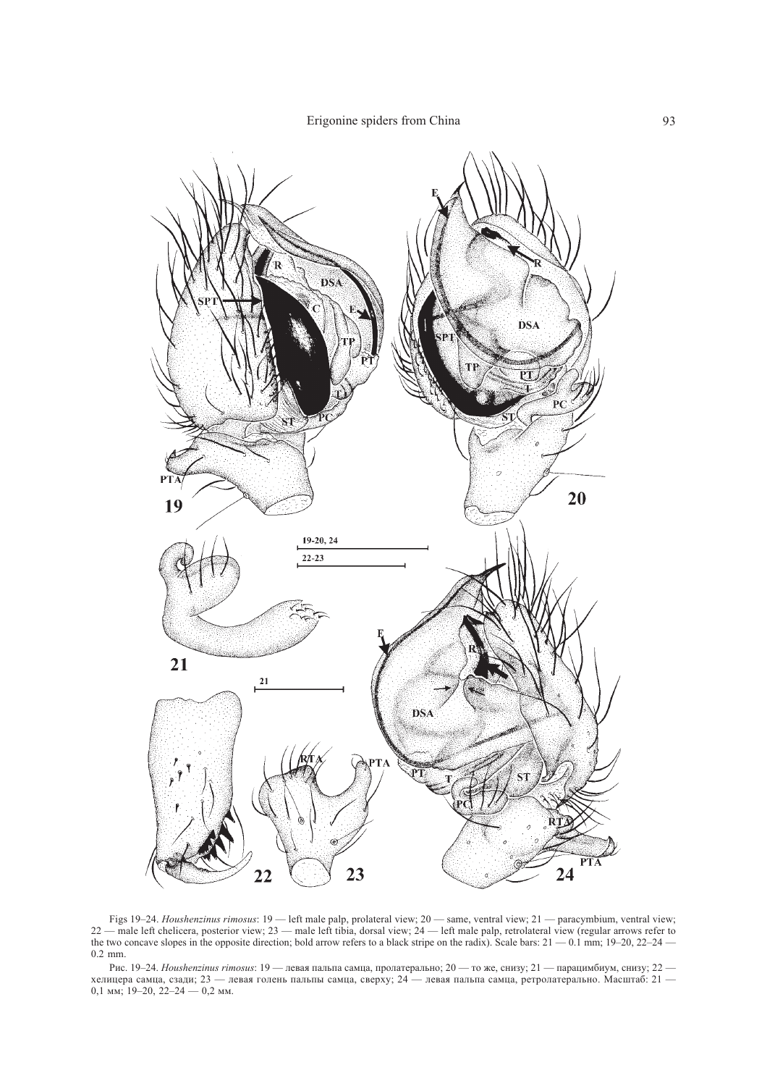

Figs 19–24. Houshenzinus rimosus:  $19$  — left male palp, prolateral view;  $20$  — same, ventral view;  $21$  — paracymbium, ventral view;  $22$  — male left chelicera, posterior view;  $23$  — male left tibia, dorsal view;  $24$ 

Рис. 19-24. Houshenzinus rimosus: 19 — левая пальпа самца, пролатерально; 20 — то же, снизу; 21 — парацимбиум, снизу; 22 — хелицера самца, сзади; 23 — левая голень пальпы самца, сверху; 24 — левая пальпа самца, ретролатер 0,1 мм; 19-20, 22-24 — 0,2 мм.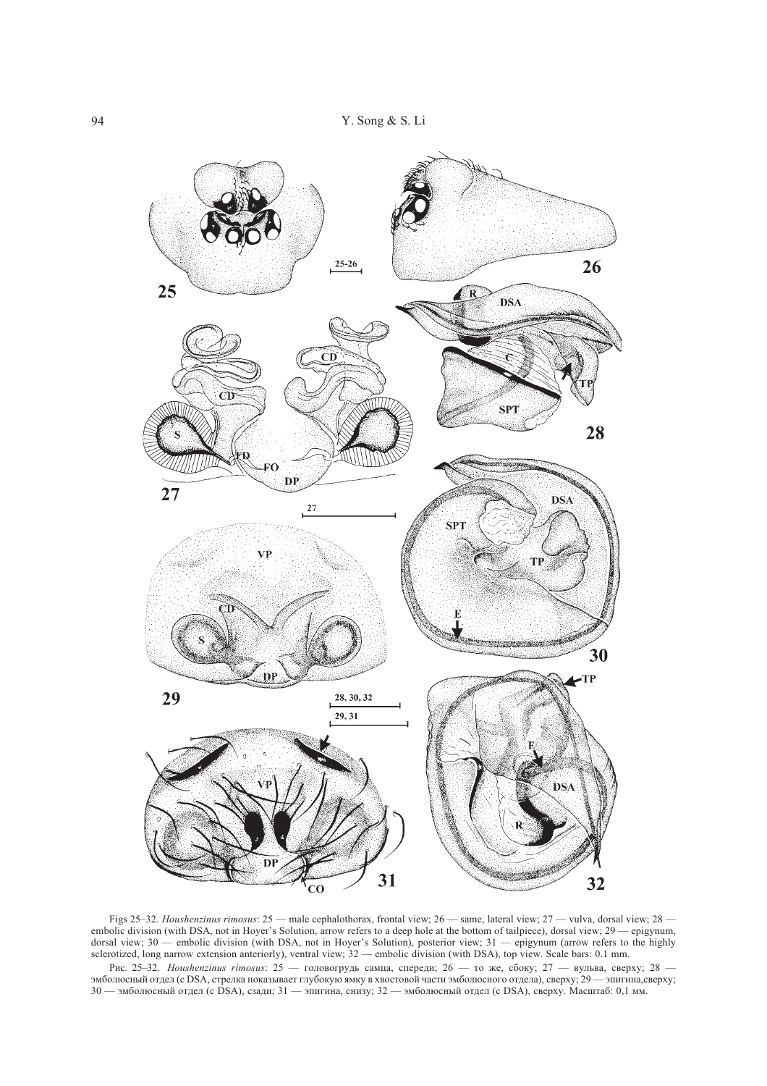

Figs 25-32. Houshenzinus rimosus:  $25$  — male cephalothorax, frontal view;  $26$  — same, lateral view;  $27$  — vulva, dorsal view;  $28$  embolic division (with DSA, not in Hoyer's Solution, arrow refers to a deep hole at the bottom of tailpiece), dorsal view; 29 — epigynum, dorsal view; 30 — embolic division (with DSA, not in Hoyer's Solution, and views to a deep note at the octom of amplece), dorsal view, 25 - epigynam,<br>dorsal view; 30 — embolic division (with DSA, not in Hoyer's Solution),

Рис. 25-32. *Houshenzinus rimosus*: 25 — головогрудь самца, спереди; 26 — то же, сбоку; 27 — вульва, сверху; 28 — эмболюсный отдел (с DSA, стрелка показывает глубокую ямку в хвостовой части эмболюсного отдела), сверху; 29 30 - эмболюсный отдел (с DSA), сзади; 31 - эпигина, снизу; 32 - эмболюсный отдел (с DSA), сверху. Масштаб: 0,1 мм.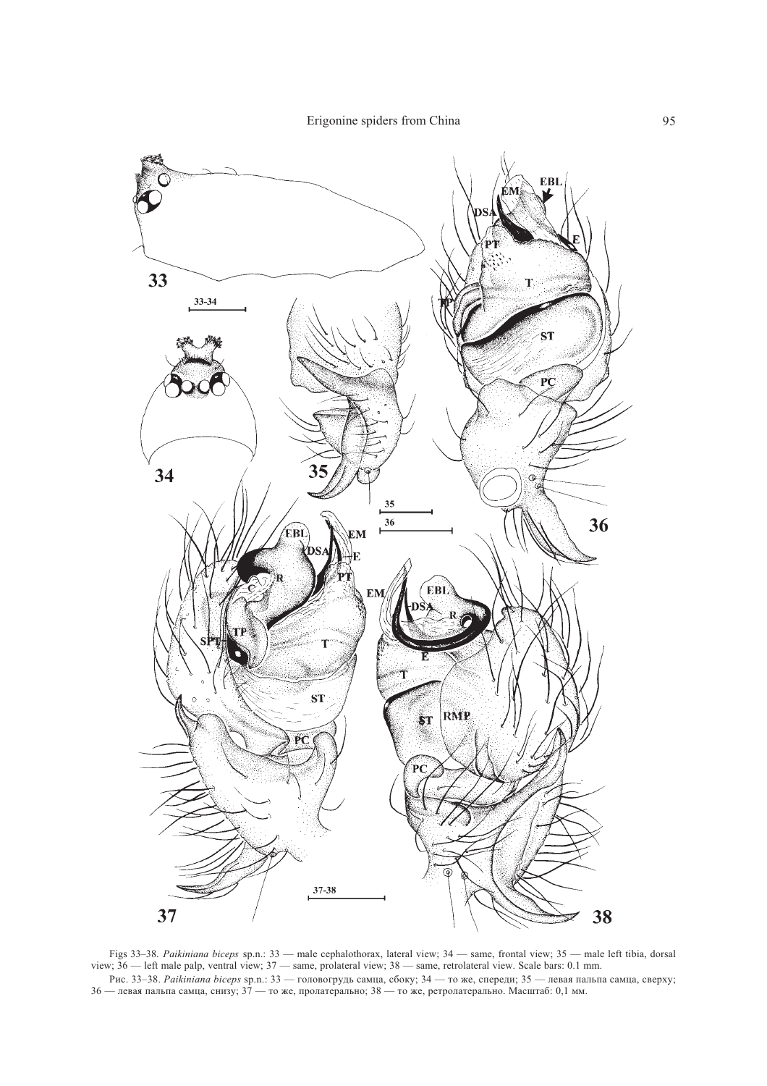Erigonine spiders from China 95



Figs 33–38. Paikiniana biceps sp.n.: 33 — male cephalothorax, lateral view; 34 — same, frontal view; 35 — male left tibia, dorsal view;  $36$  — left male palp, ventral view;  $37$  — same, prolateral view;  $38$  — same, retrolateral view. Scale bars: 0.1 mm. Рис. 33–38. *Раікіпіапа biceps* sp.n.: 33 — головогрудь самца, сбоку; 34 — то же, спереди; 35 — левая пальпа самца, сверху; 36 — левая пальпа самца, снизу; 37 — то же, пролатерально; 38 — то же, ретролатерально. Масштаб: 0,1 мм.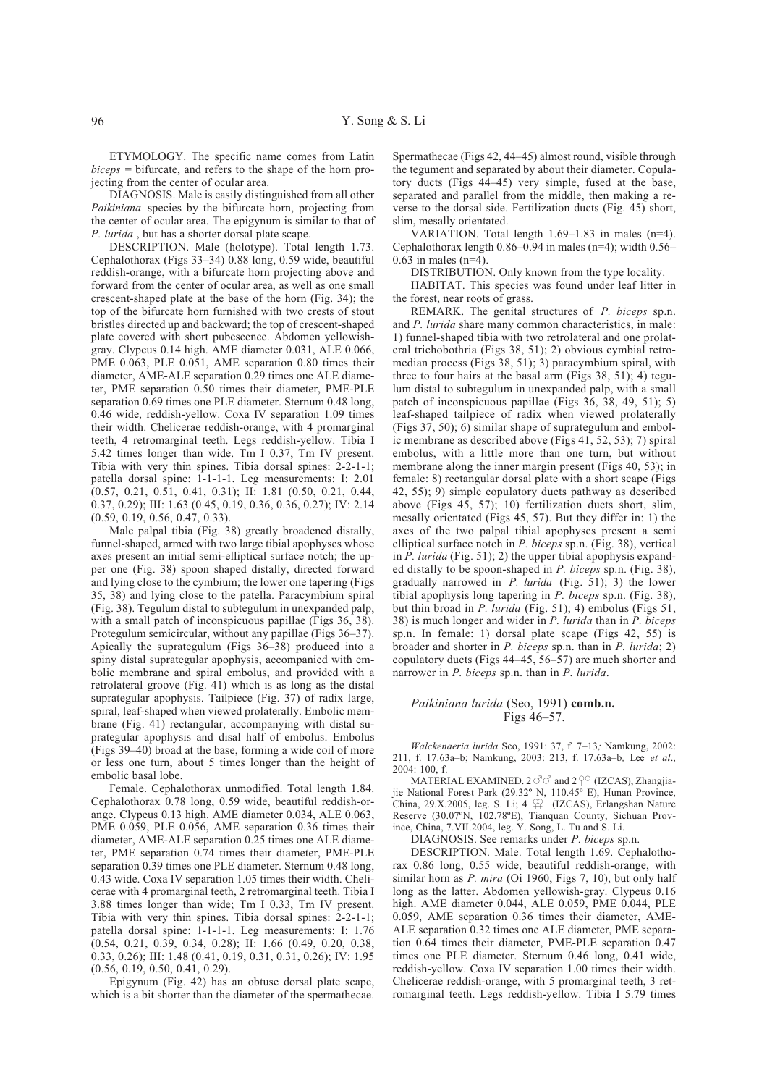ETYMOLOGY. The specific name comes from Latin  $biceps = bifurcate$ , and refers to the shape of the horn projecting from the center of ocular area.

DIAGNOSIS. Male is easily distinguished from all other Paikiniana species by the bifurcate horn, projecting from the center of ocular area. The epigynum is similar to that of P. lurida, but has a shorter dorsal plate scape.

DESCRIPTION. Male (holotype). Total length 1.73. Cephalothorax (Figs 33-34) 0.88 long, 0.59 wide, beautiful reddish-orange, with a bifurcate horn projecting above and forward from the center of ocular area, as well as one small crescent-shaped plate at the base of the horn (Fig. 34); the top of the bifurcate horn furnished with two crests of stout bristles directed up and backward; the top of crescent-shaped plate covered with short pubescence. Abdomen yellowishgray. Clypeus 0.14 high. AME diameter 0.031, ALE 0.066, PME 0.063, PLE 0.051, AME separation 0.80 times their diameter, AME-ALE separation 0.29 times one ALE diameter, PME separation 0.50 times their diameter, PME-PLE separation 0.69 times one PLE diameter. Sternum 0.48 long, 0.46 wide, reddish-yellow. Coxa IV separation 1.09 times their width. Chelicerae reddish-orange, with 4 promarginal teeth, 4 retromarginal teeth. Legs reddish-yellow. Tibia I 5.42 times longer than wide. Tm I 0.37, Tm IV present. Tibia with very thin spines. Tibia dorsal spines: 2-2-1-1; patella dorsal spine: 1-1-1-1. Leg measurements: I: 2.01  $(0.57, 0.21, 0.51, 0.41, 0.31);$  II: 1.81  $(0.50, 0.21, 0.44,$ 0.37, 0.29); III: 1.63 (0.45, 0.19, 0.36, 0.36, 0.27); IV: 2.14  $(0.59, 0.19, 0.56, 0.47, 0.33)$ .

Male palpal tibia (Fig. 38) greatly broadened distally, funnel-shaped, armed with two large tibial apophyses whose axes present an initial semi-elliptical surface notch; the upper one (Fig. 38) spoon shaped distally, directed forward and lying close to the cymbium; the lower one tapering (Figs 35, 38) and lying close to the patella. Paracymbium spiral (Fig. 38). Tegulum distal to subtegulum in unexpanded palp, with a small patch of inconspicuous papillae (Figs 36, 38). Protegulum semicircular, without any papillae (Figs 36–37). Apically the suprategulum (Figs 36-38) produced into a spiny distal suprategular apophysis, accompanied with embolic membrane and spiral embolus, and provided with a retrolateral groove (Fig. 41) which is as long as the distal suprategular apophysis. Tailpiece (Fig. 37) of radix large, spiral, leaf-shaped when viewed prolaterally. Embolic membrane (Fig. 41) rectangular, accompanying with distal suprategular apophysis and disal half of embolus. Embolus (Figs 39–40) broad at the base, forming a wide coil of more or less one turn, about 5 times longer than the height of embolic basal lobe.

Female. Cephalothorax unmodified. Total length 1.84. Cephalothorax 0.78 long, 0.59 wide, beautiful reddish-orange. Clypeus 0.13 high. AME diameter 0.034, ALE 0.063, PME 0.059, PLE 0.056, AME separation 0.36 times their diameter, AME-ALE separation 0.25 times one ALE diameter, PME separation 0.74 times their diameter, PME-PLE separation 0.39 times one PLE diameter. Sternum 0.48 long. 0.43 wide. Coxa IV separation 1.05 times their width. Chelicerae with 4 promarginal teeth, 2 retromarginal teeth. Tibia I 3.88 times longer than wide; Tm I 0.33, Tm IV present. Tibia with very thin spines. Tibia dorsal spines: 2-2-1-1; patella dorsal spine: 1-1-1-1. Leg measurements: I: 1.76  $(0.54, 0.21, 0.39, 0.34, 0.28)$ ; II: 1.66  $(0.49, 0.20, 0.38,$ 0.33, 0.26); III: 1.48 (0.41, 0.19, 0.31, 0.31, 0.26); IV: 1.95  $(0.56, 0.19, 0.50, 0.41, 0.29).$ 

Epigynum (Fig. 42) has an obtuse dorsal plate scape. which is a bit shorter than the diameter of the spermathecae.

Spermathecae (Figs 42, 44–45) almost round, visible through the tegument and separated by about their diameter. Copulatory ducts (Figs 44-45) very simple, fused at the base, separated and parallel from the middle, then making a reverse to the dorsal side. Fertilization ducts (Fig. 45) short, slim, mesally orientated.

VARIATION. Total length  $1.69-1.83$  in males (n=4). Cephalothorax length  $0.86 - 0.94$  in males (n=4); width  $0.56 0.63$  in males (n=4).

DISTRIBUTION. Only known from the type locality.

HABITAT. This species was found under leaf litter in the forest, near roots of grass.

REMARK. The genital structures of P. biceps sp.n. and P. lurida share many common characteristics, in male: 1) funnel-shaped tibia with two retrolateral and one prolateral trichobothria (Figs 38, 51); 2) obvious cymbial retromedian process (Figs 38, 51); 3) paracymbium spiral, with three to four hairs at the basal arm (Figs  $38, 51$ ); 4) tegulum distal to subtegulum in unexpanded palp, with a small patch of inconspicuous papillae (Figs 36, 38, 49, 51); 5) leaf-shaped tailpiece of radix when viewed prolaterally (Figs 37, 50); 6) similar shape of suprategulum and embolic membrane as described above (Figs 41, 52, 53); 7) spiral embolus, with a little more than one turn, but without membrane along the inner margin present (Figs 40, 53); in female: 8) rectangular dorsal plate with a short scape (Figs 42, 55); 9) simple copulatory ducts pathway as described above (Figs 45, 57); 10) fertilization ducts short, slim, mesally orientated (Figs 45, 57). But they differ in: 1) the axes of the two palpal tibial apophyses present a semi elliptical surface notch in P. biceps sp.n. (Fig. 38), vertical in  $P$ . lurida (Fig. 51); 2) the upper tibial apophysis expanded distally to be spoon-shaped in P. biceps sp.n. (Fig. 38), gradually narrowed in  $P$ . *lurida* (Fig. 51); 3) the lower tibial apophysis long tapering in P. biceps sp.n. (Fig. 38), but thin broad in P. lurida (Fig. 51); 4) embolus (Figs 51, 38) is much longer and wider in *P. lurida* than in *P. biceps* sp.n. In female: 1) dorsal plate scape (Figs 42, 55) is broader and shorter in  $P$ . biceps sp.n. than in  $P$ . lurida; 2) copulatory ducts (Figs  $44-45$ ,  $56-57$ ) are much shorter and narrower in P. biceps sp.n. than in P. lurida.

#### Paikiniana lurida (Seo, 1991) comb.n. Figs 46-57.

Walckenaeria lurida Seo, 1991: 37, f. 7-13; Namkung, 2002: 211, f. 17.63a-b; Namkung, 2003: 213, f. 17.63a-b; Lee et al.,  $2004:100. f.$ 

MATERIAL EXAMINED. 2 ° c<sup>7</sup> and 2 <sup>2</sup><sup>2</sup> (IZCAS), Zhangjiajie National Forest Park (29.32° N, 110.45° E), Hunan Province, China, 29.X.2005, leg. S. Li; 4  $\mathfrak{P}$  (IZCAS), Erlangshan Nature Reserve (30.07°N, 102.78°E), Tianquan County, Sichuan Province, China, 7.VII.2004, leg. Y. Song, L. Tu and S. Li.

DIAGNOSIS. See remarks under P. biceps sp.n.

DESCRIPTION. Male. Total length 1.69. Cephalothorax 0.86 long, 0.55 wide, beautiful reddish-orange, with similar horn as  $P. mira$  (Oi 1960, Figs 7, 10), but only half long as the latter. Abdomen yellowish-gray. Clypeus 0.16 high. AME diameter 0.044, ALE 0.059, PME 0.044, PLE 0.059, AME separation 0.36 times their diameter, AME-ALE separation 0.32 times one ALE diameter, PME separation 0.64 times their diameter, PME-PLE separation 0.47 times one PLE diameter. Sternum 0.46 long, 0.41 wide, reddish-yellow. Coxa IV separation 1.00 times their width. Chelicerae reddish-orange, with 5 promarginal teeth, 3 retromarginal teeth. Legs reddish-yellow. Tibia I 5.79 times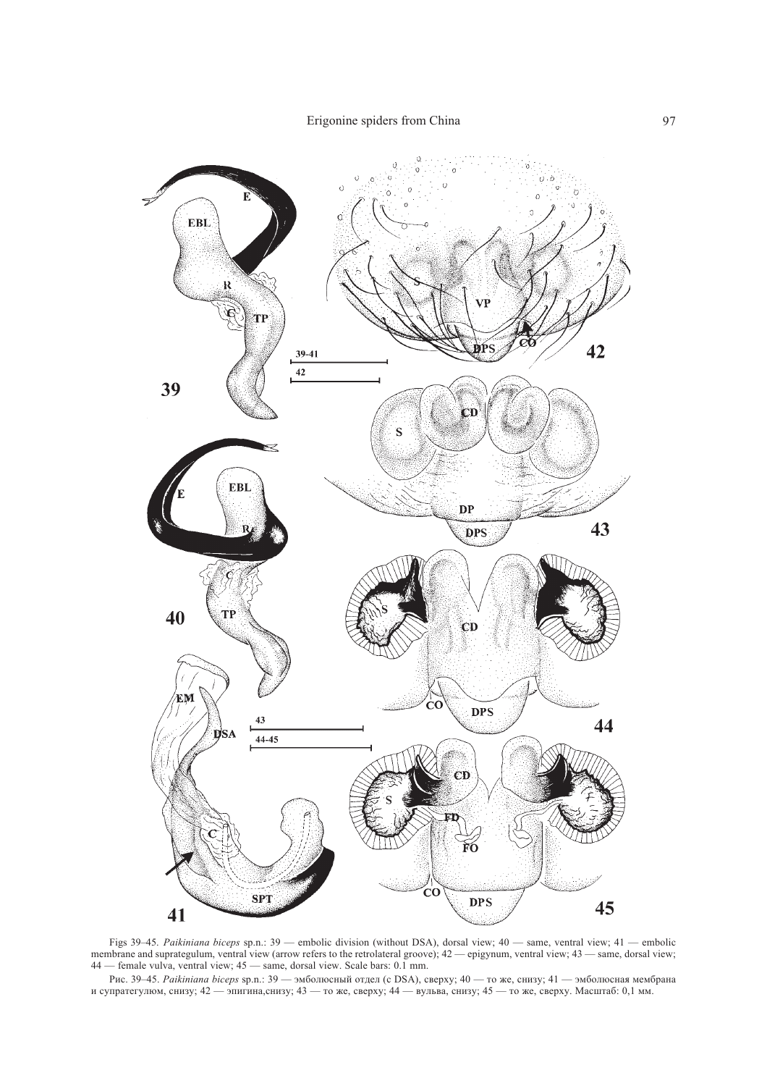

Figs 39–45. Paikiniana biceps sp.n.: 39 — embolic division (without DSA), dorsal view;  $40$  — same, ventral view;  $41$  — embolic membrane and suprategulum, ventral view (arrow refers to the retrolateral groove);  $42$  — ep 44 - female vulva, ventral view; 45 - same, dorsal view. Scale bars: 0.1 mm.

Рис. 39—45. *Paikiniana biceps* sp.n.: 39 — эмболюсный отдел (с DSA), сверху; 40 — то же, снизу; 41 — эмболюсная мембрана и супратегулюм, снизу; 42 — эпигина, снизу; 43 — то же, сверху; 44 — вульва, снизу; 45 — то же, све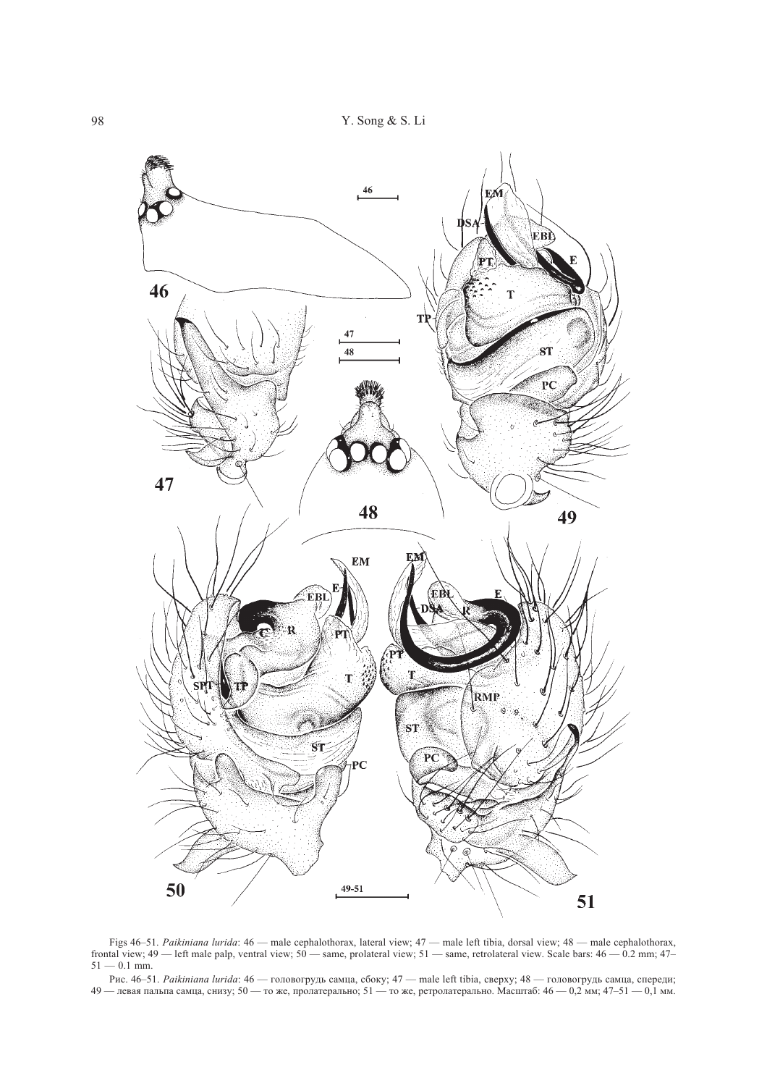

Figs 46–51. Paikiniana lurida: 46 — male cephalothorax, lateral view; 47 — male left tibia, dorsal view; 48 — male cephalothorax, frontal view;  $49$  — left male palp, ventral view;  $50$  — same, prolateral view;  $51$  — same, retrolateral view. Scale bars:  $46$  — 0.2 mm;  $47$ –  $51 - 0.1$  mm.

Рис. 46–51. *Paikiniana lurida*: 46 — головогрудь самца, сбоку; 47 — male left tibia, сверху; 48 — головогрудь самца, спереди; 49 — левая пальпа самца, снизу; 50 — то же, пролатерально; 51 — то же, ретролатерально. Масштаб: 46 — 0,2 мм; 47–51 — 0,1 мм.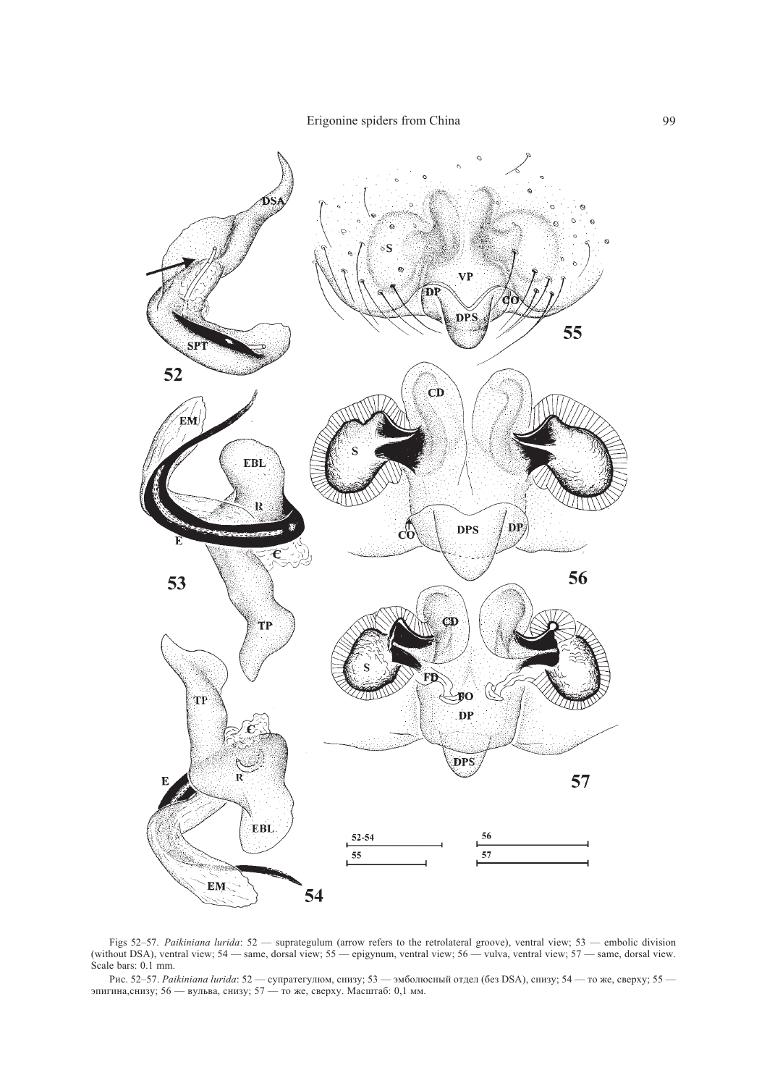Erigonine spiders from China



Figs 52–57. Paikiniana lurida:  $52$  — suprategulum (arrow refers to the retrolateral groove), ventral view;  $53$  — embolic division (without DSA), ventral view;  $54$  — same, dorsal view;  $55$  — epigynum, ventral view;  $56$ Scale bars: 0.1 mm.

Рис. 52-57. Раікіпіала lurida: 52 — супратегулюм, снизу; 53 — эмболюсный отдел (без DSA), снизу; 54 — то же, сверху; 55 — эпигина, снизу; 56 — вульва, снизу; 57 — то же, сверху. Масштаб: 0,1 мм.